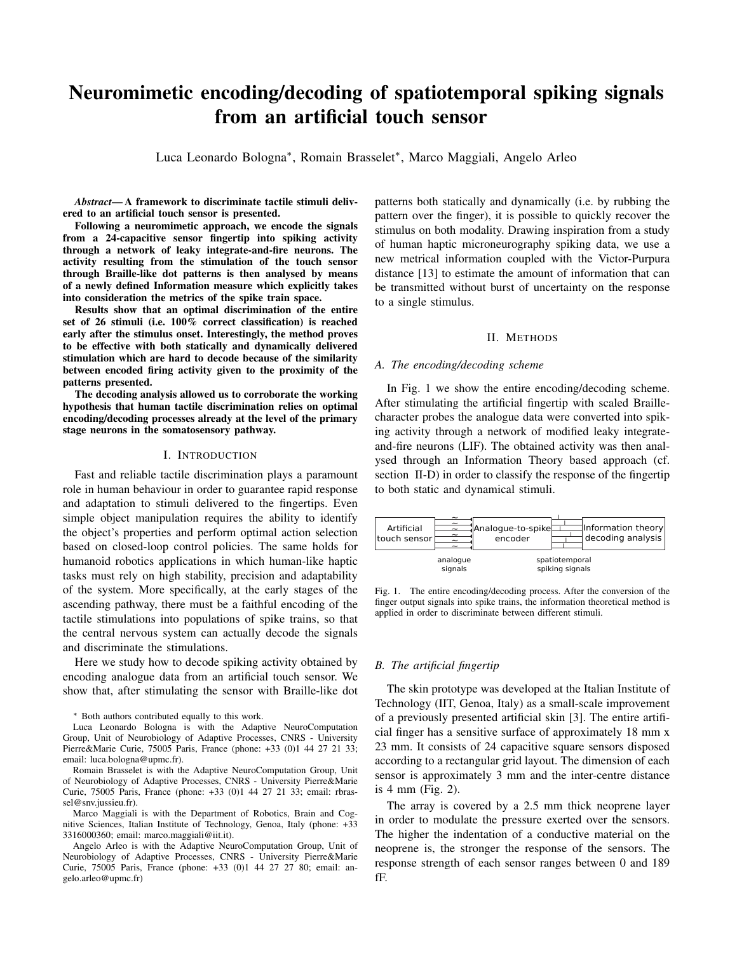# Neuromimetic encoding/decoding of spatiotemporal spiking signals from an artificial touch sensor

Luca Leonardo Bologna<sup>∗</sup> , Romain Brasselet<sup>∗</sup> , Marco Maggiali, Angelo Arleo

*Abstract*— A framework to discriminate tactile stimuli delivered to an artificial touch sensor is presented.

Following a neuromimetic approach, we encode the signals from a 24-capacitive sensor fingertip into spiking activity through a network of leaky integrate-and-fire neurons. The activity resulting from the stimulation of the touch sensor through Braille-like dot patterns is then analysed by means of a newly defined Information measure which explicitly takes into consideration the metrics of the spike train space.

Results show that an optimal discrimination of the entire set of 26 stimuli (i.e. 100% correct classification) is reached early after the stimulus onset. Interestingly, the method proves to be effective with both statically and dynamically delivered stimulation which are hard to decode because of the similarity between encoded firing activity given to the proximity of the patterns presented.

The decoding analysis allowed us to corroborate the working hypothesis that human tactile discrimination relies on optimal encoding/decoding processes already at the level of the primary stage neurons in the somatosensory pathway.

## I. INTRODUCTION

Fast and reliable tactile discrimination plays a paramount role in human behaviour in order to guarantee rapid response and adaptation to stimuli delivered to the fingertips. Even simple object manipulation requires the ability to identify the object's properties and perform optimal action selection based on closed-loop control policies. The same holds for humanoid robotics applications in which human-like haptic tasks must rely on high stability, precision and adaptability of the system. More specifically, at the early stages of the ascending pathway, there must be a faithful encoding of the tactile stimulations into populations of spike trains, so that the central nervous system can actually decode the signals and discriminate the stimulations.

Here we study how to decode spiking activity obtained by encoding analogue data from an artificial touch sensor. We show that, after stimulating the sensor with Braille-like dot

<sup>∗</sup> Both authors contributed equally to this work.

Luca Leonardo Bologna is with the Adaptive NeuroComputation Group, Unit of Neurobiology of Adaptive Processes, CNRS - University Pierre&Marie Curie, 75005 Paris, France (phone: +33 (0)1 44 27 21 33; email: luca.bologna@upmc.fr).

Romain Brasselet is with the Adaptive NeuroComputation Group, Unit of Neurobiology of Adaptive Processes, CNRS - University Pierre&Marie Curie, 75005 Paris, France (phone: +33 (0)1 44 27 21 33; email: rbrassel@snv.jussieu.fr).

Marco Maggiali is with the Department of Robotics, Brain and Cognitive Sciences, Italian Institute of Technology, Genoa, Italy (phone: +33 3316000360; email: marco.maggiali@iit.it).

Angelo Arleo is with the Adaptive NeuroComputation Group, Unit of Neurobiology of Adaptive Processes, CNRS - University Pierre&Marie Curie, 75005 Paris, France (phone: +33 (0)1 44 27 27 80; email: angelo.arleo@upmc.fr)

patterns both statically and dynamically (i.e. by rubbing the pattern over the finger), it is possible to quickly recover the stimulus on both modality. Drawing inspiration from a study of human haptic microneurography spiking data, we use a new metrical information coupled with the Victor-Purpura distance [13] to estimate the amount of information that can be transmitted without burst of uncertainty on the response to a single stimulus.

## II. METHODS

#### *A. The encoding/decoding scheme*

In Fig. 1 we show the entire encoding/decoding scheme. After stimulating the artificial fingertip with scaled Braillecharacter probes the analogue data were converted into spiking activity through a network of modified leaky integrateand-fire neurons (LIF). The obtained activity was then analysed through an Information Theory based approach (cf. section II-D) in order to classify the response of the fingertip to both static and dynamical stimuli.



Fig. 1. The entire encoding/decoding process. After the conversion of the finger output signals into spike trains, the information theoretical method is applied in order to discriminate between different stimuli.

#### *B. The artificial fingertip*

The skin prototype was developed at the Italian Institute of Technology (IIT, Genoa, Italy) as a small-scale improvement of a previously presented artificial skin [3]. The entire artificial finger has a sensitive surface of approximately 18 mm x 23 mm. It consists of 24 capacitive square sensors disposed according to a rectangular grid layout. The dimension of each sensor is approximately 3 mm and the inter-centre distance is 4 mm (Fig. 2).

The array is covered by a 2.5 mm thick neoprene layer in order to modulate the pressure exerted over the sensors. The higher the indentation of a conductive material on the neoprene is, the stronger the response of the sensors. The response strength of each sensor ranges between 0 and 189 fF.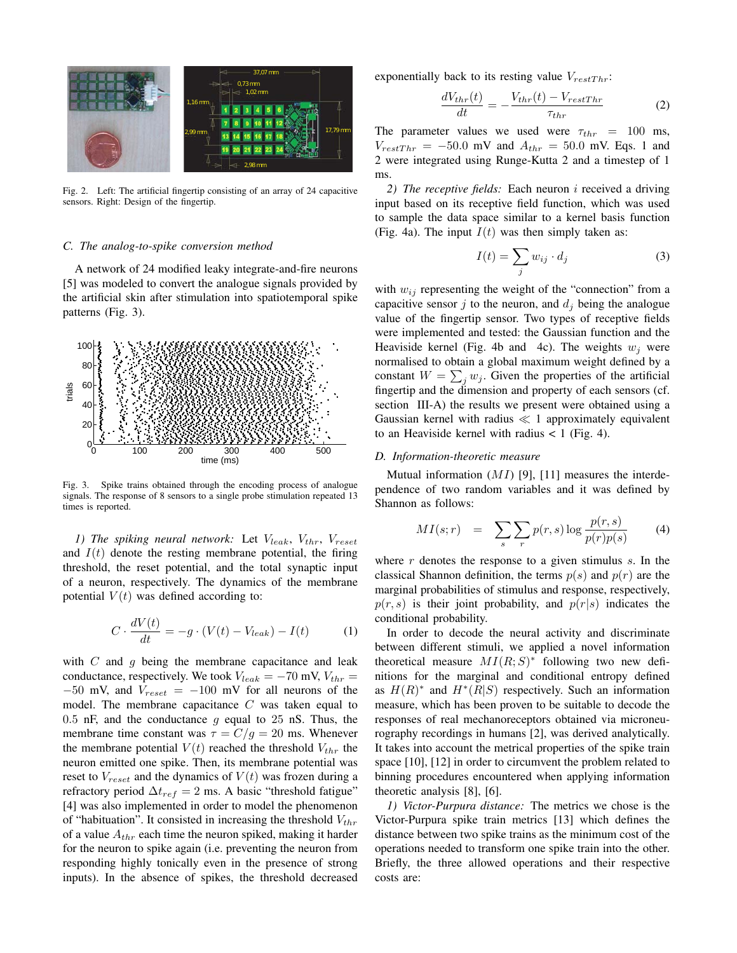

Fig. 2. Left: The artificial fingertip consisting of an array of 24 capacitive sensors. Right: Design of the fingertip.

## *C. The analog-to-spike conversion method*

A network of 24 modified leaky integrate-and-fire neurons [5] was modeled to convert the analogue signals provided by the artificial skin after stimulation into spatiotemporal spike patterns (Fig. 3).



Fig. 3. Spike trains obtained through the encoding process of analogue signals. The response of 8 sensors to a single probe stimulation repeated 13 times is reported.

*1)* The spiking neural network: Let  $V_{leak}$ ,  $V_{thr}$ ,  $V_{reset}$ and  $I(t)$  denote the resting membrane potential, the firing threshold, the reset potential, and the total synaptic input of a neuron, respectively. The dynamics of the membrane potential  $V(t)$  was defined according to:

$$
C \cdot \frac{dV(t)}{dt} = -g \cdot (V(t) - V_{leak}) - I(t) \tag{1}
$$

with  $C$  and  $g$  being the membrane capacitance and leak conductance, respectively. We took  $V_{leak} = -70$  mV,  $V_{thr} =$  $-50$  mV, and  $V_{reset} = -100$  mV for all neurons of the model. The membrane capacitance  $C$  was taken equal to 0.5 nF, and the conductance  $q$  equal to 25 nS. Thus, the membrane time constant was  $\tau = C/g = 20$  ms. Whenever the membrane potential  $V(t)$  reached the threshold  $V_{thr}$  the neuron emitted one spike. Then, its membrane potential was reset to  $V_{reset}$  and the dynamics of  $V(t)$  was frozen during a refractory period  $\Delta t_{ref} = 2$  ms. A basic "threshold fatigue" [4] was also implemented in order to model the phenomenon of "habituation". It consisted in increasing the threshold  $V_{thr}$ of a value  $A_{thr}$  each time the neuron spiked, making it harder for the neuron to spike again (i.e. preventing the neuron from responding highly tonically even in the presence of strong inputs). In the absence of spikes, the threshold decreased exponentially back to its resting value  $V_{restThr}$ :

$$
\frac{dV_{thr}(t)}{dt} = -\frac{V_{thr}(t) - V_{restThr}}{\tau_{thr}}\tag{2}
$$

The parameter values we used were  $\tau_{thr}$  = 100 ms,  $V_{restThr} = -50.0$  mV and  $A_{thr} = 50.0$  mV. Eqs. 1 and 2 were integrated using Runge-Kutta 2 and a timestep of 1 ms.

*2) The receptive fields:* Each neuron i received a driving input based on its receptive field function, which was used to sample the data space similar to a kernel basis function (Fig. 4a). The input  $I(t)$  was then simply taken as:

$$
I(t) = \sum_{j} w_{ij} \cdot d_j \tag{3}
$$

with  $w_{ij}$  representing the weight of the "connection" from a capacitive sensor  $j$  to the neuron, and  $d_j$  being the analogue value of the fingertip sensor. Two types of receptive fields were implemented and tested: the Gaussian function and the Heaviside kernel (Fig. 4b and 4c). The weights  $w_i$  were normalised to obtain a global maximum weight defined by a constant  $W = \sum_j w_j$ . Given the properties of the artificial fingertip and the dimension and property of each sensors (cf. section III-A) the results we present were obtained using a Gaussian kernel with radius  $\ll 1$  approximately equivalent to an Heaviside kernel with radius  $< 1$  (Fig. 4).

#### *D. Information-theoretic measure*

Mutual information  $(MI)$  [9], [11] measures the interdependence of two random variables and it was defined by Shannon as follows:

$$
MI(s;r) = \sum_{s} \sum_{r} p(r,s) \log \frac{p(r,s)}{p(r)p(s)} \qquad (4)
$$

where  $r$  denotes the response to a given stimulus  $s$ . In the classical Shannon definition, the terms  $p(s)$  and  $p(r)$  are the marginal probabilities of stimulus and response, respectively,  $p(r, s)$  is their joint probability, and  $p(r|s)$  indicates the conditional probability.

In order to decode the neural activity and discriminate between different stimuli, we applied a novel information theoretical measure  $MI(R;S)^*$  following two new definitions for the marginal and conditional entropy defined as  $H(R)^*$  and  $H^*(R|S)$  respectively. Such an information measure, which has been proven to be suitable to decode the responses of real mechanoreceptors obtained via microneurography recordings in humans [2], was derived analytically. It takes into account the metrical properties of the spike train space [10], [12] in order to circumvent the problem related to binning procedures encountered when applying information theoretic analysis [8], [6].

*1) Victor-Purpura distance:* The metrics we chose is the Victor-Purpura spike train metrics [13] which defines the distance between two spike trains as the minimum cost of the operations needed to transform one spike train into the other. Briefly, the three allowed operations and their respective costs are: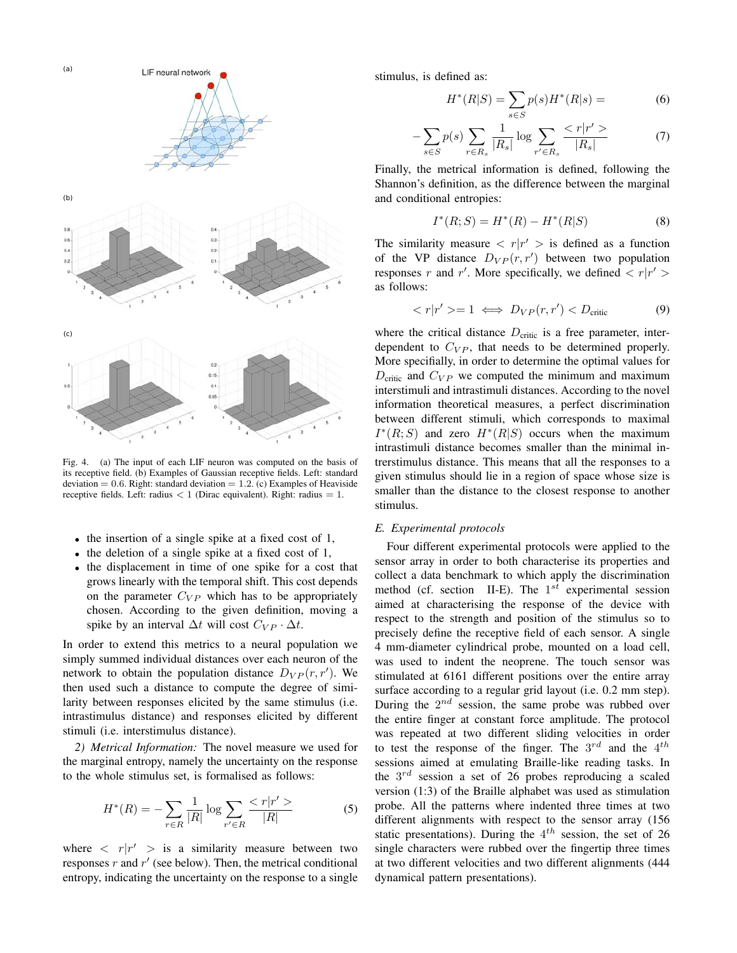

Fig. 4. (a) The input of each LIF neuron was computed on the basis of its receptive field. (b) Examples of Gaussian receptive fields. Left: standard deviation =  $0.6$ . Right: standard deviation =  $1.2$ . (c) Examples of Heaviside receptive fields. Left: radius  $< 1$  (Dirac equivalent). Right: radius  $= 1$ .

- the insertion of a single spike at a fixed cost of 1,
- the deletion of a single spike at a fixed cost of 1,
- the displacement in time of one spike for a cost that grows linearly with the temporal shift. This cost depends on the parameter  $C_{VP}$  which has to be appropriately chosen. According to the given definition, moving a spike by an interval  $\Delta t$  will cost  $C_{VP} \cdot \Delta t$ .

In order to extend this metrics to a neural population we simply summed individual distances over each neuron of the network to obtain the population distance  $D_{VP}(r, r')$ . We then used such a distance to compute the degree of similarity between responses elicited by the same stimulus (i.e. intrastimulus distance) and responses elicited by different stimuli (i.e. interstimulus distance).

*2) Metrical Information:* The novel measure we used for the marginal entropy, namely the uncertainty on the response to the whole stimulus set, is formalised as follows:

$$
H^*(R) = -\sum_{r \in R} \frac{1}{|R|} \log \sum_{r' \in R} \frac{1}{|R|} \frac{1}{|R|} \tag{5}
$$

where  $\langle r|r' \rangle$  is a similarity measure between two responses  $r$  and  $r'$  (see below). Then, the metrical conditional entropy, indicating the uncertainty on the response to a single stimulus, is defined as:

$$
H^*(R|S) = \sum_{s \in S} p(s)H^*(R|s) = \tag{6}
$$

$$
-\sum_{s \in S} p(s) \sum_{r \in R_s} \frac{1}{|R_s|} \log \sum_{r' \in R_s} \frac{
$$

Finally, the metrical information is defined, following the Shannon's definition, as the difference between the marginal and conditional entropies:

$$
I^*(R;S) = H^*(R) - H^*(R|S)
$$
\n(8)

The similarity measure  $\langle r|r' \rangle$  is defined as a function of the VP distance  $D_{VP}(r, r')$  between two population responses r and r'. More specifically, we defined  $\langle r|r' \rangle$ as follows:

$$
\langle r|r' \rangle = 1 \iff D_{VP}(r,r') < D_{\text{critic}} \tag{9}
$$

where the critical distance  $D_{\text{critic}}$  is a free parameter, interdependent to  $C_{VP}$ , that needs to be determined properly. More specifially, in order to determine the optimal values for  $D_{\text{critic}}$  and  $C_{VP}$  we computed the minimum and maximum interstimuli and intrastimuli distances. According to the novel information theoretical measures, a perfect discrimination between different stimuli, which corresponds to maximal  $I^*(R;S)$  and zero  $H^*(R|S)$  occurs when the maximum intrastimuli distance becomes smaller than the minimal intrerstimulus distance. This means that all the responses to a given stimulus should lie in a region of space whose size is smaller than the distance to the closest response to another stimulus.

## *E. Experimental protocols*

Four different experimental protocols were applied to the sensor array in order to both characterise its properties and collect a data benchmark to which apply the discrimination method (cf. section II-E). The  $1^{st}$  experimental session aimed at characterising the response of the device with respect to the strength and position of the stimulus so to precisely define the receptive field of each sensor. A single 4 mm-diameter cylindrical probe, mounted on a load cell, was used to indent the neoprene. The touch sensor was stimulated at 6161 different positions over the entire array surface according to a regular grid layout (i.e. 0.2 mm step). During the  $2^{nd}$  session, the same probe was rubbed over the entire finger at constant force amplitude. The protocol was repeated at two different sliding velocities in order to test the response of the finger. The  $3^{rd}$  and the  $4^{th}$ sessions aimed at emulating Braille-like reading tasks. In the  $3^{rd}$  session a set of 26 probes reproducing a scaled version (1:3) of the Braille alphabet was used as stimulation probe. All the patterns where indented three times at two different alignments with respect to the sensor array (156 static presentations). During the  $4^{th}$  session, the set of 26 single characters were rubbed over the fingertip three times at two different velocities and two different alignments (444 dynamical pattern presentations).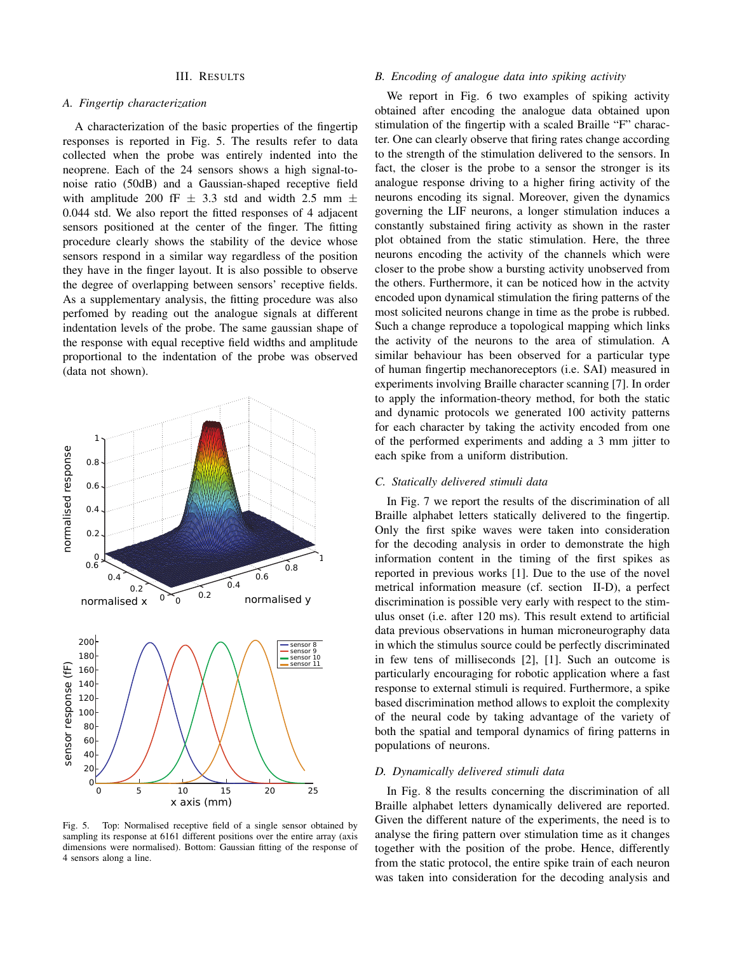#### III. RESULTS

#### *A. Fingertip characterization*

A characterization of the basic properties of the fingertip responses is reported in Fig. 5. The results refer to data collected when the probe was entirely indented into the neoprene. Each of the 24 sensors shows a high signal-tonoise ratio (50dB) and a Gaussian-shaped receptive field with amplitude 200 fF  $\pm$  3.3 std and width 2.5 mm  $\pm$ 0.044 std. We also report the fitted responses of 4 adjacent sensors positioned at the center of the finger. The fitting procedure clearly shows the stability of the device whose sensors respond in a similar way regardless of the position they have in the finger layout. It is also possible to observe the degree of overlapping between sensors' receptive fields. As a supplementary analysis, the fitting procedure was also perfomed by reading out the analogue signals at different indentation levels of the probe. The same gaussian shape of the response with equal receptive field widths and amplitude proportional to the indentation of the probe was observed (data not shown).



Top: Normalised receptive field of a single sensor obtained by sampling its response at 6161 different positions over the entire array (axis dimensions were normalised). Bottom: Gaussian fitting of the response of 4 sensors along a line.

## *B. Encoding of analogue data into spiking activity*

We report in Fig. 6 two examples of spiking activity obtained after encoding the analogue data obtained upon stimulation of the fingertip with a scaled Braille "F" character. One can clearly observe that firing rates change according to the strength of the stimulation delivered to the sensors. In fact, the closer is the probe to a sensor the stronger is its analogue response driving to a higher firing activity of the neurons encoding its signal. Moreover, given the dynamics governing the LIF neurons, a longer stimulation induces a constantly substained firing activity as shown in the raster plot obtained from the static stimulation. Here, the three neurons encoding the activity of the channels which were closer to the probe show a bursting activity unobserved from the others. Furthermore, it can be noticed how in the actvity encoded upon dynamical stimulation the firing patterns of the most solicited neurons change in time as the probe is rubbed. Such a change reproduce a topological mapping which links the activity of the neurons to the area of stimulation. A similar behaviour has been observed for a particular type of human fingertip mechanoreceptors (i.e. SAI) measured in experiments involving Braille character scanning [7]. In order to apply the information-theory method, for both the static and dynamic protocols we generated 100 activity patterns for each character by taking the activity encoded from one of the performed experiments and adding a 3 mm jitter to each spike from a uniform distribution.

#### *C. Statically delivered stimuli data*

In Fig. 7 we report the results of the discrimination of all Braille alphabet letters statically delivered to the fingertip. Only the first spike waves were taken into consideration for the decoding analysis in order to demonstrate the high information content in the timing of the first spikes as reported in previous works [1]. Due to the use of the novel metrical information measure (cf. section II-D), a perfect discrimination is possible very early with respect to the stimulus onset (i.e. after 120 ms). This result extend to artificial data previous observations in human microneurography data in which the stimulus source could be perfectly discriminated in few tens of milliseconds [2], [1]. Such an outcome is particularly encouraging for robotic application where a fast response to external stimuli is required. Furthermore, a spike based discrimination method allows to exploit the complexity of the neural code by taking advantage of the variety of both the spatial and temporal dynamics of firing patterns in populations of neurons.

#### *D. Dynamically delivered stimuli data*

In Fig. 8 the results concerning the discrimination of all Braille alphabet letters dynamically delivered are reported. Given the different nature of the experiments, the need is to analyse the firing pattern over stimulation time as it changes together with the position of the probe. Hence, differently from the static protocol, the entire spike train of each neuron was taken into consideration for the decoding analysis and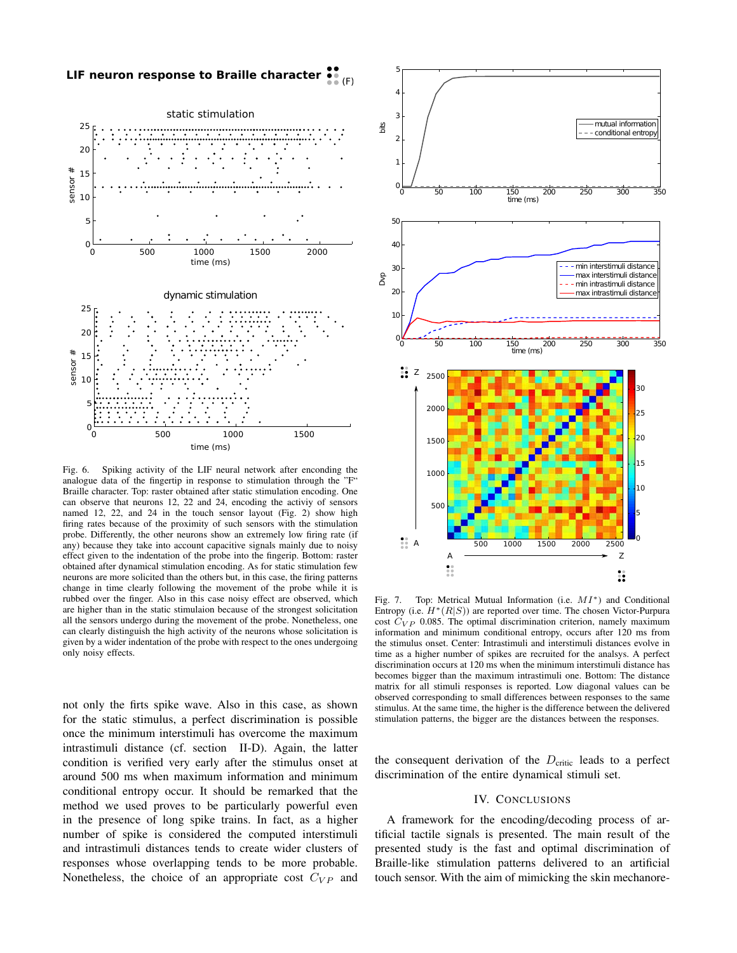



Fig. 6. Spiking activity of the LIF neural network after enconding the analogue data of the fingertip in response to stimulation through the "F" Braille character. Top: raster obtained after static stimulation encoding. One can observe that neurons 12, 22 and 24, encoding the activiy of sensors named 12, 22, and 24 in the touch sensor layout (Fig. 2) show high firing rates because of the proximity of such sensors with the stimulation probe. Differently, the other neurons show an extremely low firing rate (if any) because they take into account capacitive signals mainly due to noisy effect given to the indentation of the probe into the fingerip. Bottom: raster obtained after dynamical stimulation encoding. As for static stimulation few neurons are more solicited than the others but, in this case, the firing patterns change in time clearly following the movement of the probe while it is rubbed over the finger. Also in this case noisy effect are observed, which are higher than in the static stimulaion because of the strongest solicitation all the sensors undergo during the movement of the probe. Nonetheless, one can clearly distinguish the high activity of the neurons whose solicitation is given by a wider indentation of the probe with respect to the ones undergoing only noisy effects.

not only the firts spike wave. Also in this case, as shown for the static stimulus, a perfect discrimination is possible once the minimum interstimuli has overcome the maximum intrastimuli distance (cf. section II-D). Again, the latter condition is verified very early after the stimulus onset at around 500 ms when maximum information and minimum conditional entropy occur. It should be remarked that the method we used proves to be particularly powerful even in the presence of long spike trains. In fact, as a higher number of spike is considered the computed interstimuli and intrastimuli distances tends to create wider clusters of responses whose overlapping tends to be more probable. Nonetheless, the choice of an appropriate cost  $C_{VP}$  and



Fig. 7. Top: Metrical Mutual Information (i.e. MI∗) and Conditional Entropy (i.e.  $H^*(R|S)$ ) are reported over time. The chosen Victor-Purpura cost  $C_{VP}$  0.085. The optimal discrimination criterion, namely maximum information and minimum conditional entropy, occurs after 120 ms from the stimulus onset. Center: Intrastimuli and interstimuli distances evolve in time as a higher number of spikes are recruited for the analsys. A perfect discrimination occurs at 120 ms when the minimum interstimuli distance has becomes bigger than the maximum intrastimuli one. Bottom: The distance matrix for all stimuli responses is reported. Low diagonal values can be observed corresponding to small differences between responses to the same stimulus. At the same time, the higher is the difference between the delivered stimulation patterns, the bigger are the distances between the responses.

the consequent derivation of the  $D_{\text{critic}}$  leads to a perfect discrimination of the entire dynamical stimuli set.

#### IV. CONCLUSIONS

A framework for the encoding/decoding process of artificial tactile signals is presented. The main result of the presented study is the fast and optimal discrimination of Braille-like stimulation patterns delivered to an artificial touch sensor. With the aim of mimicking the skin mechanore-